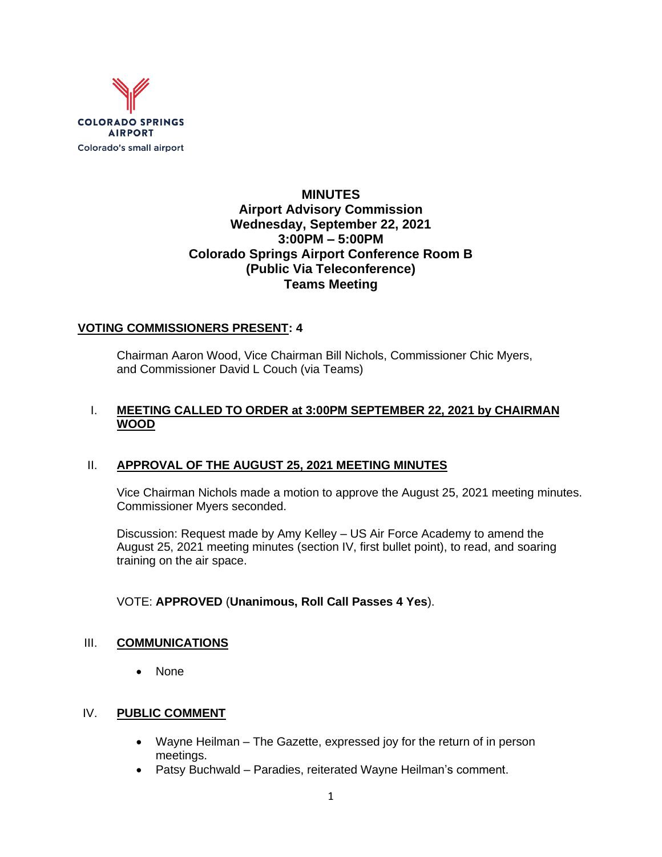

# **MINUTES Airport Advisory Commission Wednesday, September 22, 2021 3:00PM – 5:00PM Colorado Springs Airport Conference Room B (Public Via Teleconference) Teams Meeting**

#### **VOTING COMMISSIONERS PRESENT: 4**

Chairman Aaron Wood, Vice Chairman Bill Nichols, Commissioner Chic Myers, and Commissioner David L Couch (via Teams)

## I. **MEETING CALLED TO ORDER at 3:00PM SEPTEMBER 22, 2021 by CHAIRMAN WOOD**

## II. **APPROVAL OF THE AUGUST 25, 2021 MEETING MINUTES**

Vice Chairman Nichols made a motion to approve the August 25, 2021 meeting minutes. Commissioner Myers seconded.

Discussion: Request made by Amy Kelley – US Air Force Academy to amend the August 25, 2021 meeting minutes (section IV, first bullet point), to read, and soaring training on the air space.

#### VOTE: **APPROVED** (**Unanimous, Roll Call Passes 4 Yes**).

#### III. **COMMUNICATIONS**

• None

## IV. **PUBLIC COMMENT**

- Wayne Heilman The Gazette, expressed joy for the return of in person meetings.
- Patsy Buchwald Paradies, reiterated Wayne Heilman's comment.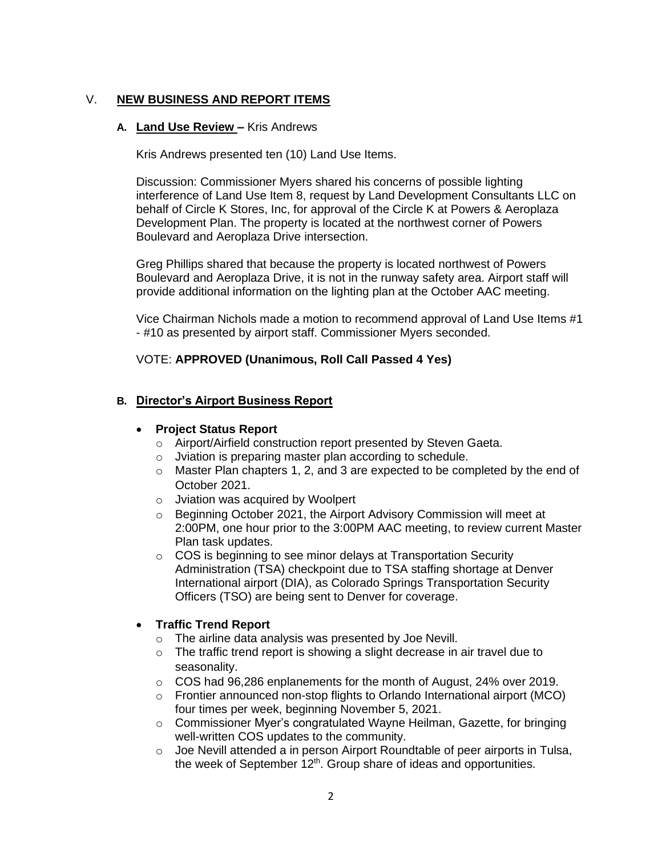## V. **NEW BUSINESS AND REPORT ITEMS**

#### **A. Land Use Review –** Kris Andrews

Kris Andrews presented ten (10) Land Use Items.

Discussion: Commissioner Myers shared his concerns of possible lighting interference of Land Use Item 8, request by Land Development Consultants LLC on behalf of Circle K Stores, Inc, for approval of the Circle K at Powers & Aeroplaza Development Plan. The property is located at the northwest corner of Powers Boulevard and Aeroplaza Drive intersection.

Greg Phillips shared that because the property is located northwest of Powers Boulevard and Aeroplaza Drive, it is not in the runway safety area. Airport staff will provide additional information on the lighting plan at the October AAC meeting.

Vice Chairman Nichols made a motion to recommend approval of Land Use Items #1 - #10 as presented by airport staff. Commissioner Myers seconded.

## VOTE: **APPROVED (Unanimous, Roll Call Passed 4 Yes)**

## **B. Director's Airport Business Report**

## • **Project Status Report**

- o Airport/Airfield construction report presented by Steven Gaeta.
- o Jviation is preparing master plan according to schedule.
- o Master Plan chapters 1, 2, and 3 are expected to be completed by the end of October 2021.
- o Jviation was acquired by Woolpert
- o Beginning October 2021, the Airport Advisory Commission will meet at 2:00PM, one hour prior to the 3:00PM AAC meeting, to review current Master Plan task updates.
- o COS is beginning to see minor delays at Transportation Security Administration (TSA) checkpoint due to TSA staffing shortage at Denver International airport (DIA), as Colorado Springs Transportation Security Officers (TSO) are being sent to Denver for coverage.

## • **Traffic Trend Report**

- o The airline data analysis was presented by Joe Nevill.
- o The traffic trend report is showing a slight decrease in air travel due to seasonality.
- o COS had 96,286 enplanements for the month of August, 24% over 2019.
- $\circ$  Frontier announced non-stop flights to Orlando International airport (MCO) four times per week, beginning November 5, 2021.
- $\circ$  Commissioner Myer's congratulated Wayne Heilman, Gazette, for bringing well-written COS updates to the community.
- o Joe Nevill attended a in person Airport Roundtable of peer airports in Tulsa, the week of September 12<sup>th</sup>. Group share of ideas and opportunities.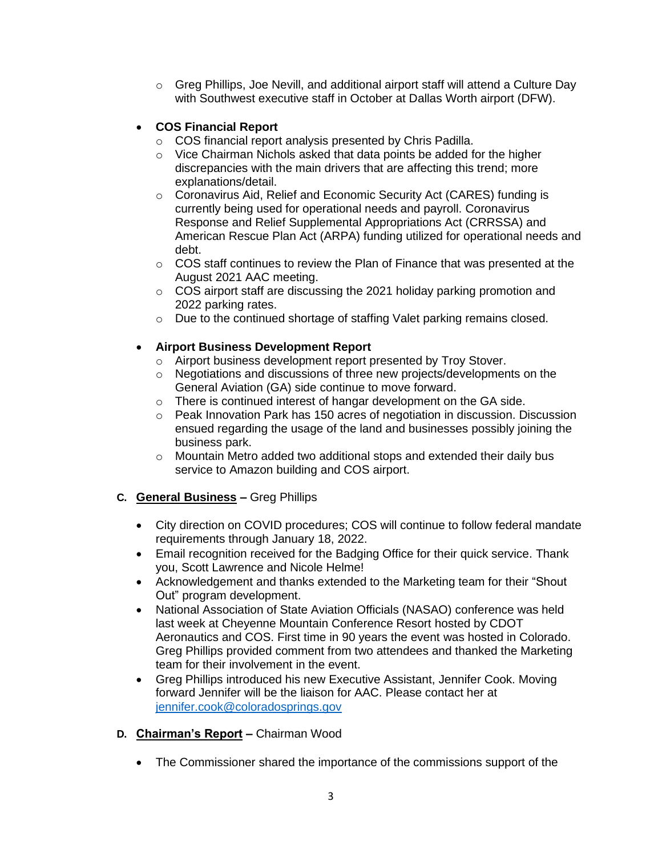o Greg Phillips, Joe Nevill, and additional airport staff will attend a Culture Day with Southwest executive staff in October at Dallas Worth airport (DFW).

## • **COS Financial Report**

- o COS financial report analysis presented by Chris Padilla.
- o Vice Chairman Nichols asked that data points be added for the higher discrepancies with the main drivers that are affecting this trend; more explanations/detail.
- o Coronavirus Aid, Relief and Economic Security Act (CARES) funding is currently being used for operational needs and payroll. Coronavirus Response and Relief Supplemental Appropriations Act (CRRSSA) and American Rescue Plan Act (ARPA) funding utilized for operational needs and debt.
- $\circ$  COS staff continues to review the Plan of Finance that was presented at the August 2021 AAC meeting.
- o COS airport staff are discussing the 2021 holiday parking promotion and 2022 parking rates.
- o Due to the continued shortage of staffing Valet parking remains closed.

## • **Airport Business Development Report**

- o Airport business development report presented by Troy Stover.
- o Negotiations and discussions of three new projects/developments on the General Aviation (GA) side continue to move forward.
- o There is continued interest of hangar development on the GA side.
- $\circ$  Peak Innovation Park has 150 acres of negotiation in discussion. Discussion ensued regarding the usage of the land and businesses possibly joining the business park.
- o Mountain Metro added two additional stops and extended their daily bus service to Amazon building and COS airport.
- **C. General Business –** Greg Phillips
	- City direction on COVID procedures; COS will continue to follow federal mandate requirements through January 18, 2022.
	- Email recognition received for the Badging Office for their quick service. Thank you, Scott Lawrence and Nicole Helme!
	- Acknowledgement and thanks extended to the Marketing team for their "Shout Out" program development.
	- National Association of State Aviation Officials (NASAO) conference was held last week at Cheyenne Mountain Conference Resort hosted by CDOT Aeronautics and COS. First time in 90 years the event was hosted in Colorado. Greg Phillips provided comment from two attendees and thanked the Marketing team for their involvement in the event.
	- Greg Phillips introduced his new Executive Assistant, Jennifer Cook. Moving forward Jennifer will be the liaison for AAC. Please contact her at [jennifer.cook@coloradosprings.gov](mailto:jennifer.cook@coloradosprings.gov)

## **D. Chairman's Report –** Chairman Wood

• The Commissioner shared the importance of the commissions support of the